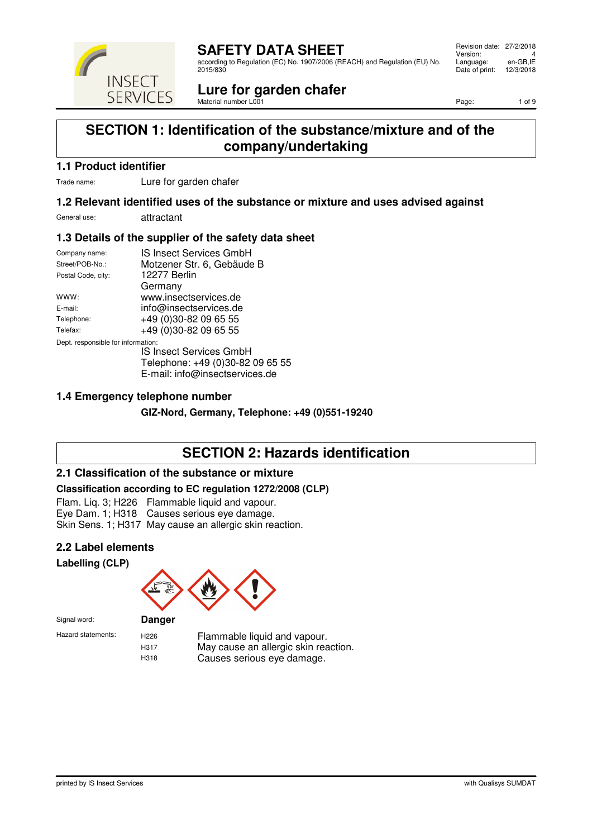

according to Regulation (EC) No. 1907/2006 (REACH) and Regulation (EU) No. 2015/830

#### Revision date: 27/2/2018 Version: 4<br>Language: en-GB,IE Language: en-GB,IE<br>Date of print: 12/3/2018 Date of print:

#### **Lure for garden chafer** Material number L001

Page: 1 of 9

### **SECTION 1: Identification of the substance/mixture and of the company/undertaking**

### **1.1 Product identifier**

**INSECT SERVICES** 

Trade name: Lure for garden chafer

### **1.2 Relevant identified uses of the substance or mixture and uses advised against**

General use: attractant

### **1.3 Details of the supplier of the safety data sheet**

| Company name:                      | IS Insect Services GmbH          |  |  |
|------------------------------------|----------------------------------|--|--|
| Street/POB-No.:                    | Motzener Str. 6, Gebäude B       |  |  |
| Postal Code, city:                 | 12277 Berlin                     |  |  |
|                                    | Germany                          |  |  |
| www:                               | www.insectservices.de            |  |  |
| E-mail:                            | info@insectservices.de           |  |  |
| Telephone:                         | +49 (0)30-82 09 65 55            |  |  |
| Telefax:                           | +49 (0)30-82 09 65 55            |  |  |
| Dept. responsible for information: |                                  |  |  |
|                                    | IS Insect Services GmbH          |  |  |
|                                    | Telephone: +49 (0)30-82 09 65 55 |  |  |
|                                    | E-mail: info@insectservices.de   |  |  |
|                                    |                                  |  |  |

### **1.4 Emergency telephone number**

**GIZ-Nord, Germany, Telephone: +49 (0)551-19240**

# **SECTION 2: Hazards identification**

#### **2.1 Classification of the substance or mixture**

#### **Classification according to EC regulation 1272/2008 (CLP)**

Flam. Liq. 3; H226 Flammable liquid and vapour. Eye Dam. 1; H318 Causes serious eye damage. Skin Sens. 1; H317 May cause an allergic skin reaction.

### **2.2 Label elements**

**Labelling (CLP)**



Signal word: **Danger**

Hazard statements: H226 Flammable liquid and vapour. H317 May cause an allergic skin reaction.<br>H318 Causes serious eye damage Causes serious eye damage.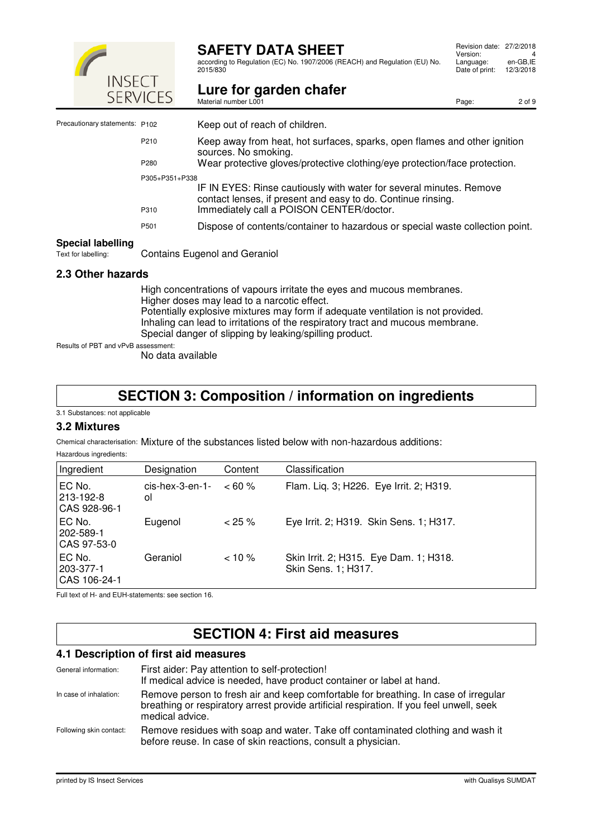

according to Regulation (EC) No. 1907/2006 (REACH) and Regulation (EU) No. 2015/830

|                                                 | ! ! } } } } } } }<br><b>SERVICES</b> | Lure for garden chafer<br>Material number L001                                                                                                                                  | Page: | 2 of 9 |
|-------------------------------------------------|--------------------------------------|---------------------------------------------------------------------------------------------------------------------------------------------------------------------------------|-------|--------|
| Precautionary statements: P102                  |                                      | Keep out of reach of children.                                                                                                                                                  |       |        |
|                                                 | P210                                 | Keep away from heat, hot surfaces, sparks, open flames and other ignition<br>sources. No smoking.                                                                               |       |        |
|                                                 | P280                                 | Wear protective gloves/protective clothing/eye protection/face protection.                                                                                                      |       |        |
|                                                 | P305+P351+P338<br>P310               | IF IN EYES: Rinse cautiously with water for several minutes. Remove<br>contact lenses, if present and easy to do. Continue rinsing.<br>Immediately call a POISON CENTER/doctor. |       |        |
|                                                 | P501                                 | Dispose of contents/container to hazardous or special waste collection point.                                                                                                   |       |        |
| <b>Special labelling</b><br>Text for labelling: |                                      | <b>Contains Eugenol and Geraniol</b>                                                                                                                                            |       |        |

### **2.3 Other hazards**

High concentrations of vapours irritate the eyes and mucous membranes. Higher doses may lead to a narcotic effect. Potentially explosive mixtures may form if adequate ventilation is not provided. Inhaling can lead to irritations of the respiratory tract and mucous membrane. Special danger of slipping by leaking/spilling product.

Results of PBT and vPvB assessment:

No data available

### **SECTION 3: Composition / information on ingredients**

3.1 Substances: not applicable

#### **3.2 Mixtures**

Chemical characterisation: Mixture of the substances listed below with non-hazardous additions:

| Hazardous ingredients: |
|------------------------|

| Ingredient                          | Designation              | Content    | Classification                                                |
|-------------------------------------|--------------------------|------------|---------------------------------------------------------------|
| EC No.<br>213-192-8<br>CAS 928-96-1 | $cis$ -hex-3-en-1-<br>οl | $~< 60 \%$ | Flam. Lig. 3; H226. Eye Irrit. 2; H319.                       |
| EC No.<br>202-589-1<br>CAS 97-53-0  | Eugenol                  | $< 25 \%$  | Eye Irrit. 2; H319. Skin Sens. 1; H317.                       |
| EC No.<br>203-377-1<br>CAS 106-24-1 | Geraniol                 | $< 10 \%$  | Skin Irrit. 2; H315. Eye Dam. 1; H318.<br>Skin Sens. 1; H317. |

Full text of H- and EUH-statements: see section 16.

# **SECTION 4: First aid measures**

#### **4.1 Description of first aid measures**

| General information:    | First aider: Pay attention to self-protection!<br>If medical advice is needed, have product container or label at hand.                                                                            |
|-------------------------|----------------------------------------------------------------------------------------------------------------------------------------------------------------------------------------------------|
| In case of inhalation:  | Remove person to fresh air and keep comfortable for breathing. In case of irregular<br>breathing or respiratory arrest provide artificial respiration. If you feel unwell, seek<br>medical advice. |
| Following skin contact: | Remove residues with soap and water. Take off contaminated clothing and wash it<br>before reuse. In case of skin reactions, consult a physician.                                                   |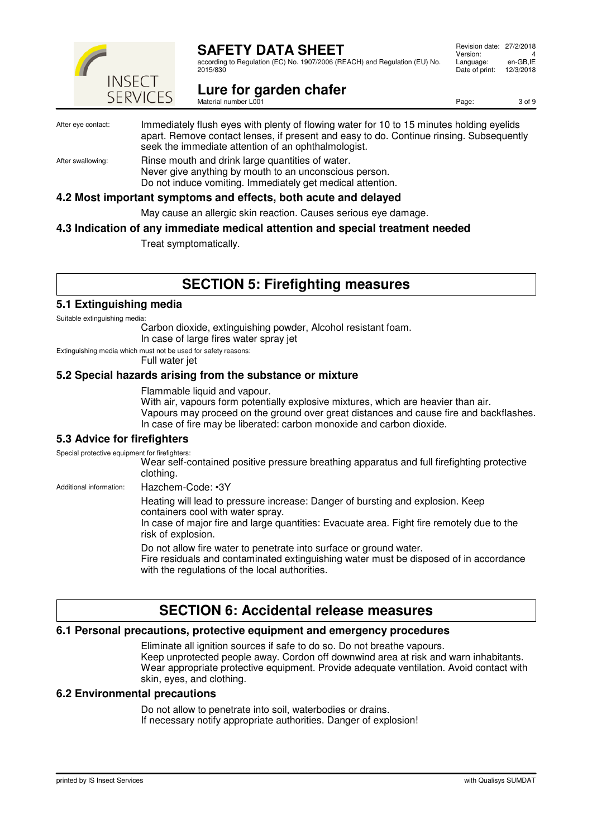

according to Regulation (EC) No. 1907/2006 (REACH) and Regulation (EU) No. 2015/830

#### Revision date: 27/2/2018 Version: 4<br>Language: en-GB,IE Language: en-GB, IE<br>Date of print: 12/3/2018 Date of print:

**Lure for garden chafer** Material number L001

Page: 3 of 9

#### After eye contact: Immediately flush eyes with plenty of flowing water for 10 to 15 minutes holding eyelids apart. Remove contact lenses, if present and easy to do. Continue rinsing. Subsequently seek the immediate attention of an ophthalmologist. After swallowing: Rinse mouth and drink large quantities of water.

Never give anything by mouth to an unconscious person. Do not induce vomiting. Immediately get medical attention.

#### **4.2 Most important symptoms and effects, both acute and delayed**

May cause an allergic skin reaction. Causes serious eye damage.

#### **4.3 Indication of any immediate medical attention and special treatment needed**

Treat symptomatically.

# **SECTION 5: Firefighting measures**

#### **5.1 Extinguishing media**

Suitable extinguishing media:

Carbon dioxide, extinguishing powder, Alcohol resistant foam. In case of large fires water spray jet

Extinguishing media which must not be used for safety reasons:

Full water jet

#### **5.2 Special hazards arising from the substance or mixture**

Flammable liquid and vapour.

With air, vapours form potentially explosive mixtures, which are heavier than air. Vapours may proceed on the ground over great distances and cause fire and backflashes. In case of fire may be liberated: carbon monoxide and carbon dioxide.

#### **5.3 Advice for firefighters**

Special protective equipment for firefighters:

Wear self-contained positive pressure breathing apparatus and full firefighting protective clothing.

Additional information: Hazchem-Code: •3Y

Heating will lead to pressure increase: Danger of bursting and explosion. Keep containers cool with water spray.

In case of major fire and large quantities: Evacuate area. Fight fire remotely due to the risk of explosion.

Do not allow fire water to penetrate into surface or ground water.

Fire residuals and contaminated extinguishing water must be disposed of in accordance with the regulations of the local authorities.

### **SECTION 6: Accidental release measures**

#### **6.1 Personal precautions, protective equipment and emergency procedures**

Eliminate all ignition sources if safe to do so. Do not breathe vapours. Keep unprotected people away. Cordon off downwind area at risk and warn inhabitants. Wear appropriate protective equipment. Provide adequate ventilation. Avoid contact with skin, eyes, and clothing.

#### **6.2 Environmental precautions**

Do not allow to penetrate into soil, waterbodies or drains. If necessary notify appropriate authorities. Danger of explosion!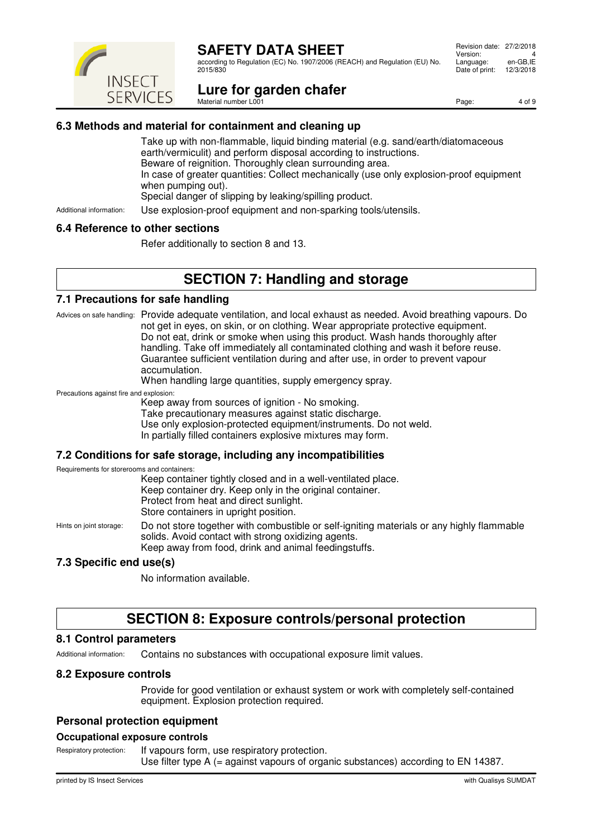

according to Regulation (EC) No. 1907/2006 (REACH) and Regulation (EU) No. 2015/830

#### Revision date: 27/2/2018 Version: 4<br>Language: en-GB,IE Language: en-GB, IE<br>Date of print: 12/3/2018 Date of print:

**Lure for garden chafer** Material number L001

Page: 4 of 9

### **6.3 Methods and material for containment and cleaning up**

Take up with non-flammable, liquid binding material (e.g. sand/earth/diatomaceous earth/vermiculit) and perform disposal according to instructions. Beware of reignition. Thoroughly clean surrounding area. In case of greater quantities: Collect mechanically (use only explosion-proof equipment when pumping out). Special danger of slipping by leaking/spilling product.

Additional information: Use explosion-proof equipment and non-sparking tools/utensils.

#### **6.4 Reference to other sections**

Refer additionally to section 8 and 13.

# **SECTION 7: Handling and storage**

#### **7.1 Precautions for safe handling**

Advices on safe handling: Provide adequate ventilation, and local exhaust as needed. Avoid breathing vapours. Do not get in eyes, on skin, or on clothing. Wear appropriate protective equipment. Do not eat, drink or smoke when using this product. Wash hands thoroughly after handling. Take off immediately all contaminated clothing and wash it before reuse. Guarantee sufficient ventilation during and after use, in order to prevent vapour accumulation.

When handling large quantities, supply emergency spray.

Precautions against fire and explosion:

Keep away from sources of ignition - No smoking.

Take precautionary measures against static discharge.

Use only explosion-protected equipment/instruments. Do not weld.

In partially filled containers explosive mixtures may form.

#### **7.2 Conditions for safe storage, including any incompatibilities**

Requirements for storerooms and containers:

| Keep container tightly closed and in a well-ventilated place. |
|---------------------------------------------------------------|
| Keep container dry. Keep only in the original container.      |
| Protect from heat and direct sunlight.                        |
| Store containers in upright position.                         |
|                                                               |

Hints on joint storage: Do not store together with combustible or self-igniting materials or any highly flammable solids. Avoid contact with strong oxidizing agents. Keep away from food, drink and animal feedingstuffs.

#### **7.3 Specific end use(s)**

No information available.

# **SECTION 8: Exposure controls/personal protection**

#### **8.1 Control parameters**

Additional information: Contains no substances with occupational exposure limit values.

### **8.2 Exposure controls**

Provide for good ventilation or exhaust system or work with completely self-contained equipment. Explosion protection required.

### **Personal protection equipment**

### **Occupational exposure controls**

Respiratory protection: If vapours form, use respiratory protection. Use filter type A (= against vapours of organic substances) according to EN 14387.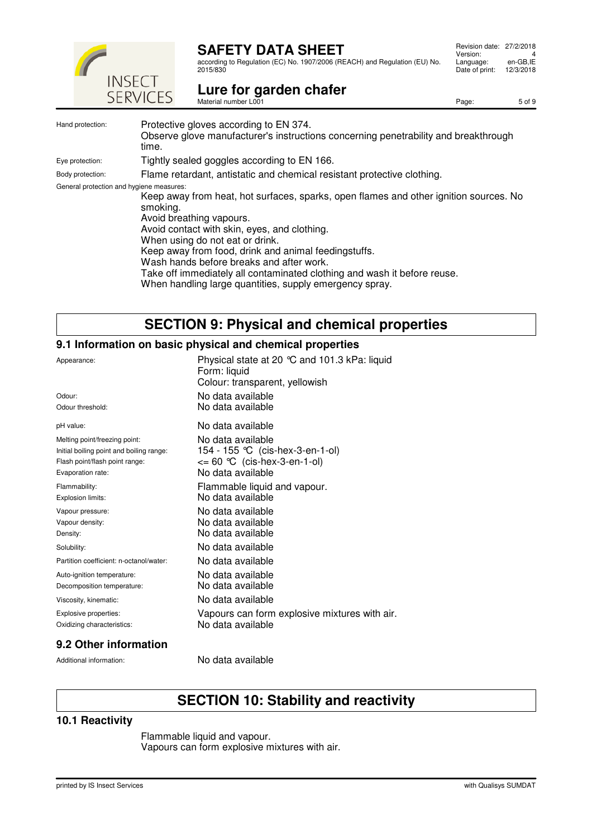

according to Regulation (EC) No. 1907/2006 (REACH) and Regulation (EU) No. 2015/830

| Revision date: 27/2/2018<br>Version: | Δ         |
|--------------------------------------|-----------|
| Language:                            | en-GB.IE  |
| Date of print:                       | 12/3/2018 |

Page: 5 of 9

# Lure for garden chafer<br>Material number L001

| Hand protection:                         | Protective gloves according to EN 374.<br>Observe glove manufacturer's instructions concerning penetrability and breakthrough<br>time.                                                                                                                                                                                                                                                                                                                      |
|------------------------------------------|-------------------------------------------------------------------------------------------------------------------------------------------------------------------------------------------------------------------------------------------------------------------------------------------------------------------------------------------------------------------------------------------------------------------------------------------------------------|
| Eye protection:                          | Tightly sealed goggles according to EN 166.                                                                                                                                                                                                                                                                                                                                                                                                                 |
| Body protection:                         | Flame retardant, antistatic and chemical resistant protective clothing.                                                                                                                                                                                                                                                                                                                                                                                     |
| General protection and hygiene measures: | Keep away from heat, hot surfaces, sparks, open flames and other ignition sources. No<br>smoking.<br>Avoid breathing vapours.<br>Avoid contact with skin, eyes, and clothing.<br>When using do not eat or drink.<br>Keep away from food, drink and animal feedingstuffs.<br>Wash hands before breaks and after work.<br>Take off immediately all contaminated clothing and wash it before reuse.<br>When handling large quantities, supply emergency spray. |

# **SECTION 9: Physical and chemical properties**

#### **9.1 Information on basic physical and chemical properties**

| Appearance:                              | Physical state at 20 $^{\circ}$ C and 101.3 kPa: liquid<br>Form: liquid<br>Colour: transparent, yellowish |
|------------------------------------------|-----------------------------------------------------------------------------------------------------------|
| Odour:                                   | No data available                                                                                         |
| Odour threshold:                         | No data available                                                                                         |
| pH value:                                | No data available                                                                                         |
| Melting point/freezing point:            | No data available                                                                                         |
| Initial boiling point and boiling range: | 154 - 155 °C (cis-hex-3-en-1-ol)                                                                          |
| Flash point/flash point range:           | $\leq$ 60 °C (cis-hex-3-en-1-ol)                                                                          |
| Evaporation rate:                        | No data available                                                                                         |
| Flammability:                            | Flammable liquid and vapour.                                                                              |
| Explosion limits:                        | No data available                                                                                         |
| Vapour pressure:                         | No data available                                                                                         |
| Vapour density:                          | No data available                                                                                         |
| Density:                                 | No data available                                                                                         |
| Solubility:                              | No data available                                                                                         |
| Partition coefficient: n-octanol/water:  | No data available                                                                                         |
| Auto-ignition temperature:               | No data available                                                                                         |
| Decomposition temperature:               | No data available                                                                                         |
| Viscosity, kinematic:                    | No data available                                                                                         |
| Explosive properties:                    | Vapours can form explosive mixtures with air.                                                             |
| Oxidizing characteristics:               | No data available                                                                                         |

#### **9.2 Other information**

Additional information: No data available

# **SECTION 10: Stability and reactivity**

#### **10.1 Reactivity**

Flammable liquid and vapour. Vapours can form explosive mixtures with air.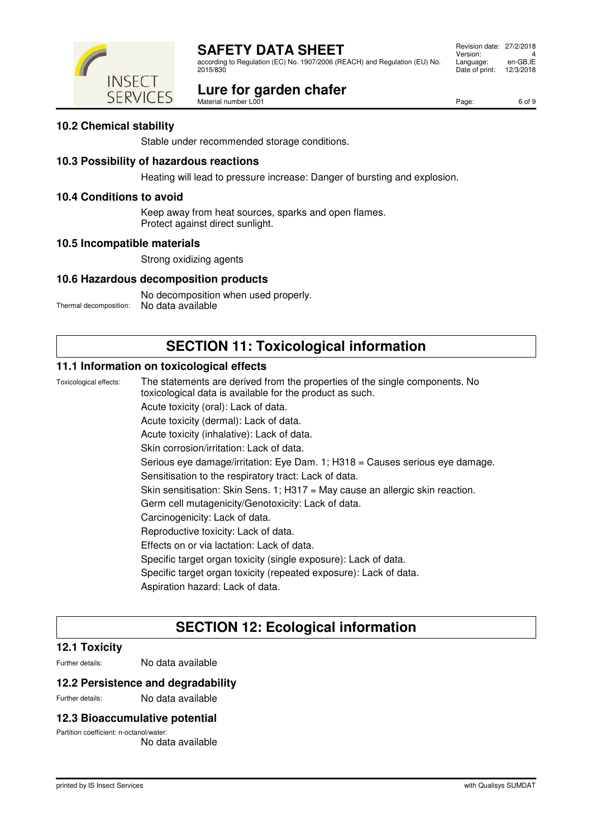according to Regulation (EC) No. 1907/2006 (REACH) and Regulation (EU) No. 2015/830

# **Lure for garden chafer**

 Revision date: 27/2/2018 Version: 4<br>Language: en-GB,IE Language: en-GB, IE<br>Date of print: 12/3/2018 Date of print:

Material number L001



Page: 6 of 9

#### **10.2 Chemical stability**

Stable under recommended storage conditions.

#### **10.3 Possibility of hazardous reactions**

Heating will lead to pressure increase: Danger of bursting and explosion.

#### **10.4 Conditions to avoid**

Keep away from heat sources, sparks and open flames. Protect against direct sunlight.

#### **10.5 Incompatible materials**

Strong oxidizing agents

#### **10.6 Hazardous decomposition products**

No decomposition when used properly. Thermal decomposition: No data available

### **SECTION 11: Toxicological information**

#### **11.1 Information on toxicological effects**

Toxicological effects: The statements are derived from the properties of the single components. No toxicological data is available for the product as such. Acute toxicity (oral): Lack of data. Acute toxicity (dermal): Lack of data. Acute toxicity (inhalative): Lack of data. Skin corrosion/irritation: Lack of data. Serious eye damage/irritation: Eye Dam. 1; H318 = Causes serious eye damage. Sensitisation to the respiratory tract: Lack of data. Skin sensitisation: Skin Sens. 1; H317 = May cause an allergic skin reaction. Germ cell mutagenicity/Genotoxicity: Lack of data. Carcinogenicity: Lack of data. Reproductive toxicity: Lack of data. Effects on or via lactation: Lack of data. Specific target organ toxicity (single exposure): Lack of data. Specific target organ toxicity (repeated exposure): Lack of data. Aspiration hazard: Lack of data.

### **SECTION 12: Ecological information**

#### **12.1 Toxicity**

Further details: No data available

#### **12.2 Persistence and degradability**

Further details: No data available

#### **12.3 Bioaccumulative potential**

Partition coefficient: n-octanol/water:

No data available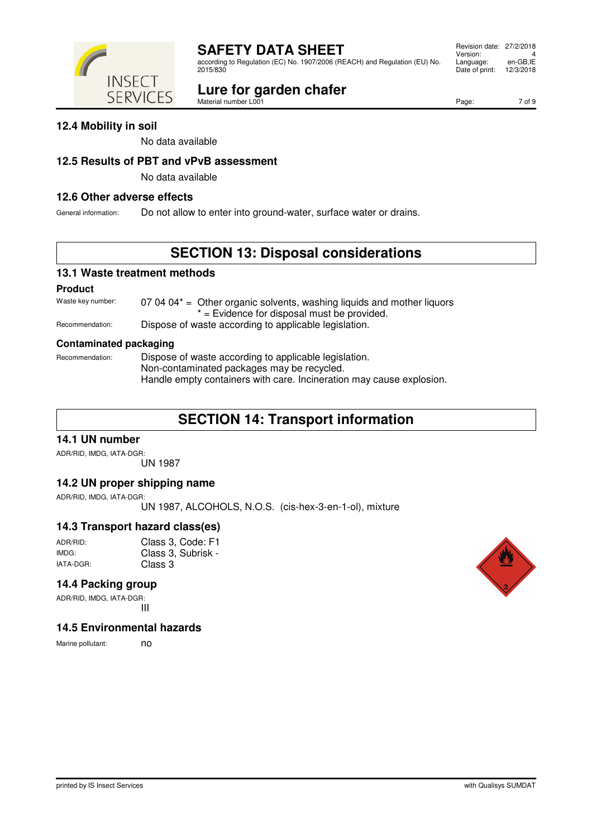according to Regulation (EC) No. 1907/2006 (REACH) and Regulation (EU) No.

#### **Lure for garden chafer** Material number L001

 Revision date: 27/2/2018 Version: 4<br>Language: en-GB,IE Language: en-GB,IE<br>Date of print: 12/3/2018 Date of print:

Page: 7 of 9

### **12.4 Mobility in soil**

No data available

#### **12.5 Results of PBT and vPvB assessment**

No data available

#### **12.6 Other adverse effects**

General information: Do not allow to enter into ground-water, surface water or drains.

# **SECTION 13: Disposal considerations**

#### **13.1 Waste treatment methods**

#### **Product**

Waste key number:  $070404*$  = Other organic solvents, washing liquids and mother liquors  $=$  Evidence for disposal must be provided. Recommendation: Dispose of waste according to applicable legislation.

#### **Contaminated packaging**

Recommendation: Dispose of waste according to applicable legislation. Non-contaminated packages may be recycled. Handle empty containers with care. Incineration may cause explosion.

# **SECTION 14: Transport information**

#### **14.1 UN number**

ADR/RID, IMDG, IATA-DGR: UN 1987

#### **14.2 UN proper shipping name**

ADR/RID, IMDG, IATA-DGR:

UN 1987, ALCOHOLS, N.O.S. (cis-hex-3-en-1-ol), mixture

#### **14.3 Transport hazard class(es)**

| ADR/RID:  | Class 3, Code: F1  |
|-----------|--------------------|
| IMDG:     | Class 3, Subrisk - |
| IATA-DGR: | Class 3            |

### **14.4 Packing group**

ADR/RID, IMDG, IATA-DGR: III

#### **14.5 Environmental hazards**

Marine pollutant: no



#### 2015/830 **INSECT SERVICES**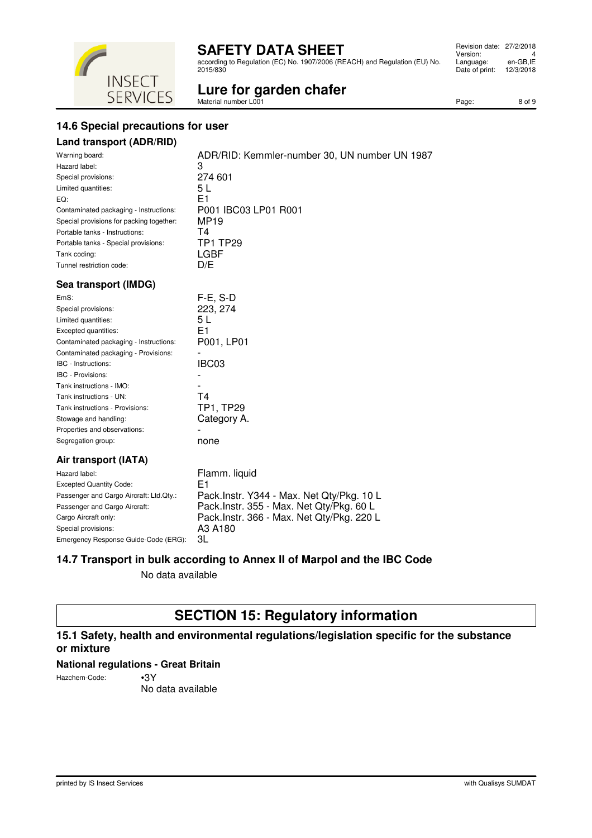according to Regulation (EC) No. 1907/2006 (REACH) and Regulation (EU) No. 2015/830

 Revision date: 27/2/2018 Version: 4<br>Language: en-GB,IE Language: Date of print: 12/3/2018

#### **INSECT** Lure for garden chafer<br>Material number L001 **SERVICES**

Page: 8 of 9

### **14.6 Special precautions for user**

### **Land transport (ADR/RID)**

| Warning board:                           | ADR/RID: Kemmler-number 30, UN number UN 1987 |
|------------------------------------------|-----------------------------------------------|
| Hazard label:                            | 3                                             |
| Special provisions:                      | 274 601                                       |
| Limited quantities:                      | 5 L                                           |
| EQ:                                      | E1                                            |
| Contaminated packaging - Instructions:   | P001 IBC03 LP01 R001                          |
| Special provisions for packing together: | MP <sub>19</sub>                              |
| Portable tanks - Instructions:           | Τ4                                            |
| Portable tanks - Special provisions:     | <b>TP1 TP29</b>                               |
| Tank coding:                             | LGBF                                          |
| Tunnel restriction code:                 | D/E                                           |
| Sea transport (IMDG)                     |                                               |
| EmS:                                     | $F-E$ , S-D                                   |
| Special provisions:                      | 223, 274                                      |
| Limited quantities:                      | 5 L                                           |
| Evented quantities:                      | E1                                            |

| . L         |
|-------------|
| E1          |
| P001, LP01  |
|             |
| IBC03       |
|             |
|             |
| T4          |
| TP1, TP29   |
| Category A. |
|             |
| none        |
|             |

#### **Air transport (IATA)**

| Hazard label:                           | Flamm. liquid                             |
|-----------------------------------------|-------------------------------------------|
| <b>Excepted Quantity Code:</b>          | E1                                        |
| Passenger and Cargo Aircraft: Ltd.Qty.: | Pack.Instr. Y344 - Max. Net Qty/Pkg. 10 L |
| Passenger and Cargo Aircraft:           | Pack.Instr. 355 - Max. Net Qty/Pkg. 60 L  |
| Cargo Aircraft only:                    | Pack.Instr. 366 - Max. Net Qty/Pkg. 220 L |
| Special provisions:                     | A3 A180                                   |
| Emergency Response Guide-Code (ERG):    | 3L                                        |

#### **14.7 Transport in bulk according to Annex II of Marpol and the IBC Code**

No data available

# **SECTION 15: Regulatory information**

### **15.1 Safety, health and environmental regulations/legislation specific for the substance or mixture**

#### **National regulations - Great Britain**

Hazchem-Code: •3Y

No data available